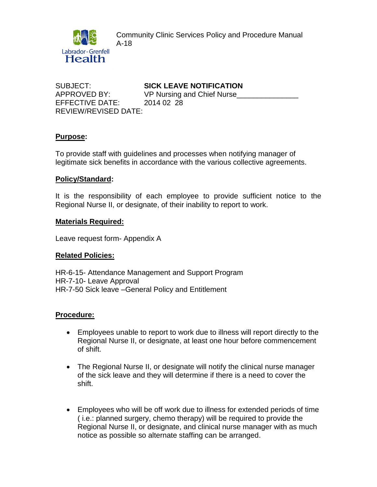Community Clinic Services Policy and Procedure Manual A-18



SUBJECT: **SICK LEAVE NOTIFICATION** EFFECTIVE DATE: 2014 02 28 REVIEW/REVISED DATE:

APPROVED BY: VP Nursing and Chief Nurse\_\_\_\_\_

# **Purpose:**

To provide staff with guidelines and processes when notifying manager of legitimate sick benefits in accordance with the various collective agreements.

# **Policy/Standard:**

It is the responsibility of each employee to provide sufficient notice to the Regional Nurse II, or designate, of their inability to report to work.

## **Materials Required:**

Leave request form- Appendix A

## **Related Policies:**

HR-6-15- Attendance Management and Support Program HR-7-10- Leave Approval HR-7-50 Sick leave –General Policy and Entitlement

## **Procedure:**

- Employees unable to report to work due to illness will report directly to the Regional Nurse II, or designate, at least one hour before commencement of shift.
- The Regional Nurse II, or designate will notify the clinical nurse manager of the sick leave and they will determine if there is a need to cover the shift.
- Employees who will be off work due to illness for extended periods of time ( i.e.: planned surgery, chemo therapy) will be required to provide the Regional Nurse II, or designate, and clinical nurse manager with as much notice as possible so alternate staffing can be arranged.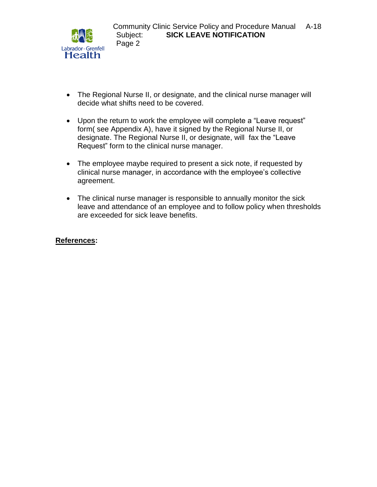

- The Regional Nurse II, or designate, and the clinical nurse manager will decide what shifts need to be covered.
- Upon the return to work the employee will complete a "Leave request" form( see Appendix A), have it signed by the Regional Nurse II, or designate. The Regional Nurse II, or designate, will fax the "Leave Request" form to the clinical nurse manager.
- The employee maybe required to present a sick note, if requested by clinical nurse manager, in accordance with the employee's collective agreement.
- The clinical nurse manager is responsible to annually monitor the sick leave and attendance of an employee and to follow policy when thresholds are exceeded for sick leave benefits.

# **References:**